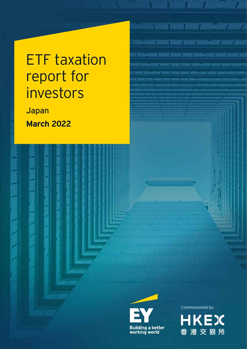# ETF taxation report for investors

Japan **March 2022**





Commissioned by:

<u>INICYANT NANT NANT ZANIMI SOON</u>

ANG ANGKE MANA ANG ING PINANG SANG

ANTONE VARIED ET VRUANT DRAMAT LIGIONALISTICI ZICHING ZIO

.<br>2008. VANNET VAN FRANKS JANA-000'ZA

ACAMACANALYANI 2001-AAV 200

**HKEX** 香港交易所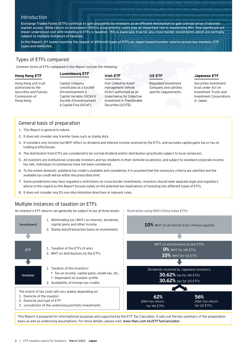# **Introduction**

Exchange Traded Funds (ETFs) continue to gain popularity by investors as an efficient mechanism to gain a broad array of desired market access. While return on investment (ROI) is a key priority, costs play an important role in maximizing ROI. One significant yet lesser understood cost with investing in ETFs is taxation. This is especially true for any cross-border investments which are normally subject to multiple instances of taxation.

In this Report, EY teams examine the impact of different types of ETFs on Japan-based investor returns across key markets, ETF types and domiciles.

# Types of ETFs compared

Common forms of ETFs compared in this Report include the following:

# **Hong Kong ETF** Hong Kong unit trust

authorized by the Securities and Futures Commission of Hong Kong.

# **Luxembourg ETF**

Capital company constituted as a Société d'Investissement à Capital Variable (SICAV)/ Société d'Investissement à Capital Fixe (SICAF).

#### **Irish ETF**

Irish Collective Assetmanagement Vehicle (ICAV) authorized as an Undertaking for Collective Investment in Transferable Securities (UCITS).

**US ETF**

Illustration using MSCI China Index ETFs:

Regulated Investment Company and satisfies specific requirements.

#### **Japanese ETF**

Securities investment trust under Act on Investment Trusts and Investment Corporations in Japan.

# General basis of preparation

- 1. This Report is general in nature.
- 2. It does not consider any transfer taxes such as stamp duty.
- 3. It considers only income tax/WHT effect on dividend and interest income received by the ETFs, and excludes capital gains tax or tax on trading profits/losses.
- 4. The distribution from ETFs are considered to be normal dividend and/or distribution (practically subject to local variances).
- 5. All investors are institutional corporate investors and tax residents in their domicile location(s), and subject to standard corporate income tax rate. Individual circumstances have not been considered.
- 6. To the extent domestic unilateral tax credit is available and considered, it is assumed that the necessary criteria are satisfied and the available tax credit will be within the prescribed limit.
- 7. Some jurisdictions may have regulatory restrictions on cross-border investments. Investors should seek separate legal and regulatory advice in this regard as this Report focuses solely on the potential tax implications of investing into different types of ETFs.
- 8. It does not consider any EU non-discrimination directives or relevant rules.

# Multiple instances of taxation on ETFs

An investor's ETF returns can generally be subject to tax at three levels:



This Report is prepared for informational purposes and supported by the ETF Tax Calculator. It sets out the key summary of the preparation basis as well as underlying assumptions. For more details, please visit: www.hkex.com.hk/ETFTaxCalculator.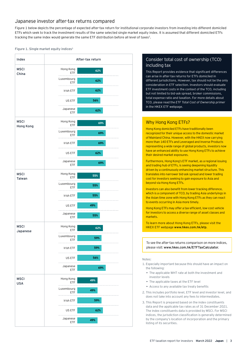# Japanese investor after-tax returns compared

Figure 1 below depicts the percentage of expected after-tax return for institutional corporate investors from investing into different domiciled ETFs which seek to track the investment results of the same selected single market equity index. It is assumed that different domiciled ETFs tracking the same index would generate the same ETF distribution before all level of taxes<sup>2</sup>.

#### Figure 1. Single market equity indices<sup>3</sup>



# Consider total cost of ownership (TCO) including tax

This Report provides evidence that significant differences can arise in after-tax returns for ETFs domiciled in different jurisdictions. However, tax should not be the only consideration in ETF selection. Investors should evaluate ETF investment costs in the context of the TCO, including but not limited to bid-ask spread, broker commissions, total expense ratio and taxation. For more details about TCO, please read the *ETF Total Cost of Ownership primer* in the HKEX ETF webpage.

# Why Hong Kong ETFs?

Hong Kong domiciled ETFs have traditionally been recognized for their unique access to the domestic market of Mainland China. However, with the HKEX now carrying more than 140 ETFs and Leveraged and Inverse Products representing a wide range of global products, investors now have an enhanced ability to use Hong Kong ETFs to achieve their desired market exposures.

Furthermore, Hong Kong's ETF market, as a regional issuing and trading hub of ETFs, is seeing deepening liquidity driven by a continuously enhancing market structure. This translates into narrower bid-ask spread and lower trading cost for investors seeking to gain exposure to Asia and beyond via Hong Kong ETFs.

Investors can also benefit from lower tracking difference, which is a component of TCO, by trading Asia underlyings in the Asian time zone with Hong Kong ETFs as they can react to events occurring in Asia more timely.

Hong Kong ETFs may offer a tax-efficient, low-cost vehicle for investors to access a diverse range of asset classes and markets.

To learn more about Hong Kong ETFs, please visit the HKEX ETF webpage www.hkex.com.hk/etp.

To see the after-tax returns comparison on more indices, please visit: www.hkex.com.hk/ETFTaxCalculator.

#### Notes:

- 1. Especially important because this should have an impact on the following:
	- The applicable WHT rate at both the investment and investor levels
	- The applicable taxes at the ETF level
	- Access to any available tax treaty benefits
- 2. This includes portfolio level, ETF level and investor level, and does not take into account any fees to intermediates.
- 3. This Report is prepared based on the index constituents data and the applicable tax rates as of 31 December 2021. The index constituents data is provided by MSCI. For MSCI indices, the jurisdiction classification is generally determined by the company's location of incorporation and the primary listing of its securities.